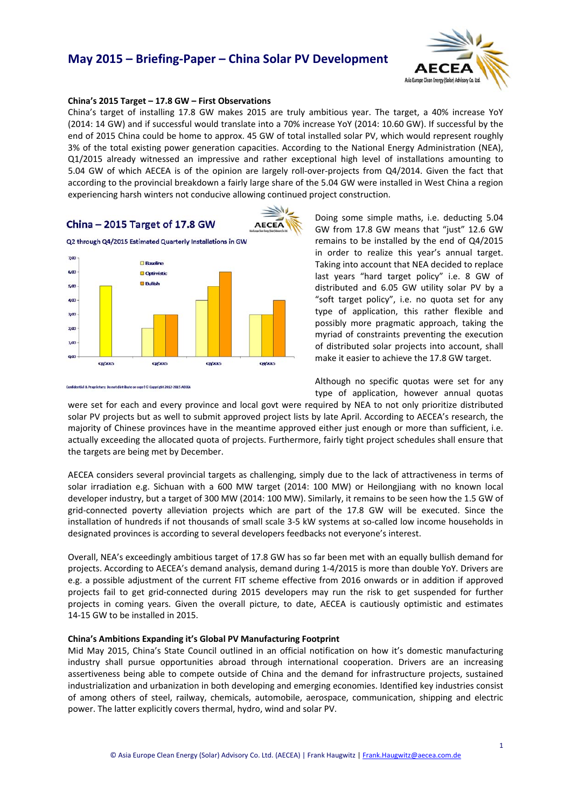## **May 2015 – Briefing‐Paper – China Solar PV Development**



#### **China's 2015 Target – 17.8 GW – First Observations**

China's target of installing 17.8 GW makes 2015 are truly ambitious year. The target, a 40% increase YoY (2014: 14 GW) and if successful would translate into a 70% increase YoY (2014: 10.60 GW). If successful by the end of 2015 China could be home to approx. 45 GW of total installed solar PV, which would represent roughly 3% of the total existing power generation capacities. According to the National Energy Administration (NEA), Q1/2015 already witnessed an impressive and rather exceptional high level of installations amounting to 5.04 GW of which AECEA is of the opinion are largely roll-over-projects from Q4/2014. Given the fact that according to the provincial breakdown a fairly large share of the 5.04 GW were installed in West China a region experiencing harsh winters not conducive allowing continued project construction.

### China - 2015 Target of 17.8 GW

selature: De not distributo or const. D. Conseista 2012-2015 AFCCA

other a free





Doing some simple maths, i.e. deducting 5.04 GW from 17.8 GW means that "just" 12.6 GW remains to be installed by the end of Q4/2015 in order to realize this year's annual target. Taking into account that NEA decided to replace last years "hard target policy" i.e. 8 GW of distributed and 6.05 GW utility solar PV by a "soft target policy", i.e. no quota set for any type of application, this rather flexible and possibly more pragmatic approach, taking the myriad of constraints preventing the execution of distributed solar projects into account, shall make it easier to achieve the 17.8 GW target.

Although no specific quotas were set for any type of application, however annual quotas

were set for each and every province and local govt were required by NEA to not only prioritize distributed solar PV projects but as well to submit approved project lists by late April. According to AECEA's research, the majority of Chinese provinces have in the meantime approved either just enough or more than sufficient, i.e. actually exceeding the allocated quota of projects. Furthermore, fairly tight project schedules shall ensure that the targets are being met by December.

AECEA considers several provincial targets as challenging, simply due to the lack of attractiveness in terms of solar irradiation e.g. Sichuan with a 600 MW target (2014: 100 MW) or Heilongjiang with no known local developer industry, but a target of 300 MW (2014: 100 MW). Similarly, it remains to be seen how the 1.5 GW of grid‐connected poverty alleviation projects which are part of the 17.8 GW will be executed. Since the installation of hundreds if not thousands of small scale 3-5 kW systems at so-called low income households in designated provinces is according to several developers feedbacks not everyone's interest.

Overall, NEA's exceedingly ambitious target of 17.8 GW has so far been met with an equally bullish demand for projects. According to AECEA's demand analysis, demand during 1‐4/2015 is more than double YoY. Drivers are e.g. a possible adjustment of the current FIT scheme effective from 2016 onwards or in addition if approved projects fail to get grid‐connected during 2015 developers may run the risk to get suspended for further projects in coming years. Given the overall picture, to date, AECEA is cautiously optimistic and estimates 14‐15 GW to be installed in 2015.

### **China's Ambitions Expanding it's Global PV Manufacturing Footprint**

Mid May 2015, China's State Council outlined in an official notification on how it's domestic manufacturing industry shall pursue opportunities abroad through international cooperation. Drivers are an increasing assertiveness being able to compete outside of China and the demand for infrastructure projects, sustained industrialization and urbanization in both developing and emerging economies. Identified key industries consist of among others of steel, railway, chemicals, automobile, aerospace, communication, shipping and electric power. The latter explicitly covers thermal, hydro, wind and solar PV.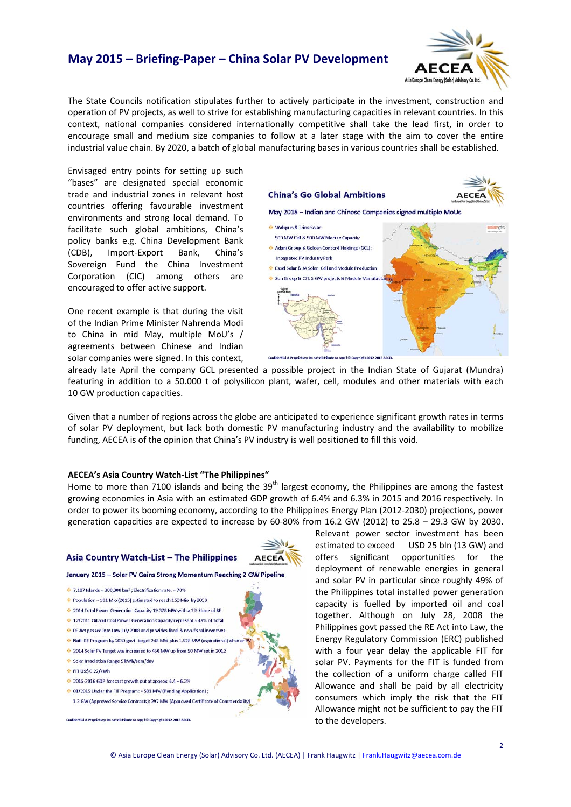### **May 2015 – Briefing‐Paper – China Solar PV Development**



The State Councils notification stipulates further to actively participate in the investment, construction and operation of PV projects, as well to strive for establishing manufacturing capacities in relevant countries. In this context, national companies considered internationally competitive shall take the lead first, in order to encourage small and medium size companies to follow at a later stage with the aim to cover the entire industrial value chain. By 2020, a batch of global manufacturing bases in various countries shall be established.

Envisaged entry points for setting up such "bases" are designated special economic trade and industrial zones in relevant host countries offering favourable investment environments and strong local demand. To facilitate such global ambitions, China's policy banks e.g. China Development Bank (CDB), Import‐Export Bank, China's Sovereign Fund the China Investment Corporation (CIC) among others are encouraged to offer active support.

One recent example is that during the visit of the Indian Prime Minister Nahrenda Modi to China in mid May, multiple MoU's / agreements between Chinese and Indian solar companies were signed. In this context,



already late April the company GCL presented a possible project in the Indian State of Gujarat (Mundra) featuring in addition to a 50.000 t of polysilicon plant, wafer, cell, modules and other materials with each 10 GW production capacities.

Given that a number of regions across the globe are anticipated to experience significant growth rates in terms of solar PV deployment, but lack both domestic PV manufacturing industry and the availability to mobilize funding, AECEA is of the opinion that China's PV industry is well positioned to fill this void.

### **AECEA's Asia Country Watch‐List "The Philippines"**

Home to more than 7100 islands and being the  $39<sup>th</sup>$  largest economy, the Philippines are among the fastest growing economies in Asia with an estimated GDP growth of 6.4% and 6.3% in 2015 and 2016 respectively. In order to power its booming economy, according to the Philippines Energy Plan (2012‐2030) projections, power generation capacities are expected to increase by 60-80% from 16.2 GW (2012) to 25.8 – 29.3 GW by 2030.

**AECEA** 

### Asia Country Watch-List - The Philippines

January 2015 - Solar PV Gains Strong Momentum Reaching 2 GW Pipeline

- $\div$  7.107 Islands = 300,000 km<sup>2</sup> : Electrification rate: = 70%
- Population = 101 Mio (2015) estimated to reach 153 Mio by 2050
- 2014 Total Power Generation Capacity 19.378 MW with a 2% Share of RE
- $\div$  12/2011 Oil and Coal Power Generation Canacity represent  $\approx$  49% of Total
- RE Act passed into Law July 2008 and provides fiscal & non-fiscal incentives
- Natl. RE Program by 2030 govt. target 248 MW plus 1.528 MW (aspirational) of sola
- 2014 Solar PV Target was increased to 450 MW up from 50 MW set in 2012
- Solar Irradiation Range 5 kWh/sqm/day
- + FIT US\$ 0.22/kwh
- $\div$  2015-2016 GDP forecast growth put at approx.  $6.4 6.3\%$
- → 01/2015 Under the FIT Program: = 501 MW (Pending Application) ; 1.3 GW (Approved Service Contracts); 297 MW (Approved Certificate of Co

ntial & Proprietary: Do not distribute or copy! © Copyright 2012-2015 AECEA

Relevant power sector investment has been estimated to exceed USD 25 bln (13 GW) and offers significant opportunities for the deployment of renewable energies in general and solar PV in particular since roughly 49% of the Philippines total installed power generation capacity is fuelled by imported oil and coal together. Although on July 28, 2008 the Philippines govt passed the RE Act into Law, the Energy Regulatory Commission (ERC) published with a four year delay the applicable FIT for solar PV. Payments for the FIT is funded from the collection of a uniform charge called FIT Allowance and shall be paid by all electricity consumers which imply the risk that the FIT Allowance might not be sufficient to pay the FIT to the developers.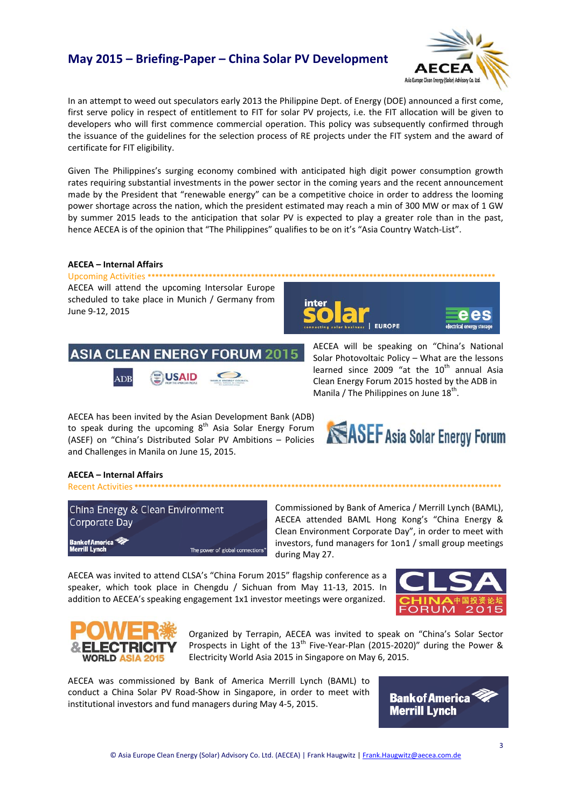### **May 2015 – Briefing‐Paper – China Solar PV Development**



In an attempt to weed out speculators early 2013 the Philippine Dept. of Energy (DOE) announced a first come, first serve policy in respect of entitlement to FIT for solar PV projects, i.e. the FIT allocation will be given to developers who will first commence commercial operation. This policy was subsequently confirmed through the issuance of the guidelines for the selection process of RE projects under the FIT system and the award of certificate for FIT eligibility.

Given The Philippines's surging economy combined with anticipated high digit power consumption growth rates requiring substantial investments in the power sector in the coming years and the recent announcement made by the President that "renewable energy" can be a competitive choice in order to address the looming power shortage across the nation, which the president estimated may reach a min of 300 MW or max of 1 GW by summer 2015 leads to the anticipation that solar PV is expected to play a greater role than in the past, hence AECEA is of the opinion that "The Philippines" qualifies to be on it's "Asia Country Watch-List".

### **AECEA – Internal Affairs**

Upcoming Activities **\*\*\*\*\*\*\*\*\*\*\*\*\*\*\*\*\*\*\*\*\*\*\*\*\*\*\*\*\*\*\*\*\*\*\*\*\*\*\*\*\*\*\*\*\*\*\*\*\*\*\*\*\*\*\*\*\*\*\*\*\*\*\*\*\*\*\*\*\*\*\*\*\*\*\*\*\*\*\*\*\*\*\*\*\*\*\*\*\*\*\*** AECEA will attend the upcoming Intersolar Europe scheduled to take place in Munich / Germany from June 9‐12, 2015





AECEA has been invited by the Asian Development Bank (ADB) to speak during the upcoming  $8<sup>th</sup>$  Asia Solar Energy Forum (ASEF) on "China's Distributed Solar PV Ambitions – Policies and Challenges in Manila on June 15, 2015.

AECEA will be speaking on "China's National Solar Photovoltaic Policy – What are the lessons learned since 2009 "at the  $10<sup>th</sup>$  annual Asia Clean Energy Forum 2015 hosted by the ADB in Manila / The Philippines on June  $18<sup>th</sup>$ .



### **AECEA – Internal Affairs**

ınk of America`

China Energy & Clean Environment Corporate Day

Commissioned by Bank of America / Merrill Lynch (BAML), AECEA attended BAML Hong Kong's "China Energy & Clean Environment Corporate Day", in order to meet with investors, fund managers for 1on1 / small group meetings during May 27.

AECEA was invited to attend CLSA's "China Forum 2015" flagship conference as a speaker, which took place in Chengdu / Sichuan from May 11‐13, 2015. In addition to AECEA's speaking engagement 1x1 investor meetings were organized.

The power of global connections





Organized by Terrapin, AECEA was invited to speak on "China's Solar Sector Prospects in Light of the 13<sup>th</sup> Five-Year-Plan (2015-2020)" during the Power & Electricity World Asia 2015 in Singapore on May 6, 2015.

AECEA was commissioned by Bank of America Merrill Lynch (BAML) to conduct a China Solar PV Road‐Show in Singapore, in order to meet with institutional investors and fund managers during May 4‐5, 2015.

**Bank of America Merrill Lynch** 

Recent Activities **\*\*\*\*\*\*\*\*\*\*\*\*\*\*\*\*\*\*\*\*\*\*\*\*\*\*\*\*\*\*\*\*\*\*\*\*\*\*\*\*\*\*\*\*\*\*\*\*\*\*\*\*\*\*\*\*\*\*\*\*\*\*\*\*\*\*\*\*\*\*\*\*\*\*\*\*\*\*\*\*\*\*\*\*\*\*\*\*\*\*\*\*\*\*\*\***